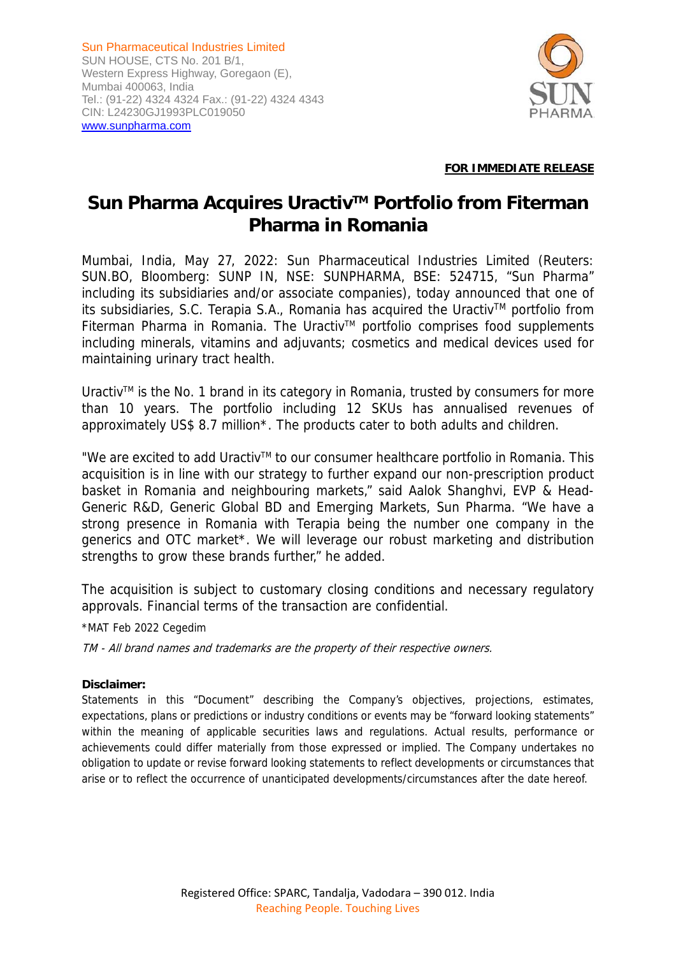Sun Pharmaceutical Industries Limited SUN HOUSE, CTS No. 201 B/1, Western Express Highway, Goregaon (E), Mumbai 400063, India Tel.: (91-22) 4324 4324 Fax.: (91-22) 4324 4343 CIN: L24230GJ1993PLC019050 www.sunpharma.com



### **FOR IMMEDIATE RELEASE**

# Sun Pharma Acquires Uractiv<sup>™</sup> Portfolio from Fiterman **Pharma in Romania**

Mumbai, India, May 27, 2022: Sun Pharmaceutical Industries Limited (Reuters: SUN.BO, Bloomberg: SUNP IN, NSE: SUNPHARMA, BSE: 524715, "Sun Pharma" including its subsidiaries and/or associate companies), today announced that one of its subsidiaries, S.C. Terapia S.A., Romania has acquired the Uractiv<sup>TM</sup> portfolio from Fiterman Pharma in Romania. The Uractiv™ portfolio comprises food supplements including minerals, vitamins and adjuvants; cosmetics and medical devices used for maintaining urinary tract health.

Uractiv<sup> $M$ </sup> is the No. 1 brand in its category in Romania, trusted by consumers for more than 10 years. The portfolio including 12 SKUs has annualised revenues of approximately US\$ 8.7 million\*. The products cater to both adults and children.

"We are excited to add Uractiv™ to our consumer healthcare portfolio in Romania. This acquisition is in line with our strategy to further expand our non-prescription product basket in Romania and neighbouring markets," said Aalok Shanghvi, EVP & Head-Generic R&D, Generic Global BD and Emerging Markets, Sun Pharma. "We have a strong presence in Romania with Terapia being the number one company in the generics and OTC market\*. We will leverage our robust marketing and distribution strengths to grow these brands further," he added.

The acquisition is subject to customary closing conditions and necessary regulatory approvals. Financial terms of the transaction are confidential.

\*MAT Feb 2022 Cegedim

TM - All brand names and trademarks are the property of their respective owners.

#### **Disclaimer:**

Statements in this "Document" describing the Company's objectives, projections, estimates, expectations, plans or predictions or industry conditions or events may be "forward looking statements" within the meaning of applicable securities laws and regulations. Actual results, performance or achievements could differ materially from those expressed or implied. The Company undertakes no obligation to update or revise forward looking statements to reflect developments or circumstances that arise or to reflect the occurrence of unanticipated developments/circumstances after the date hereof.